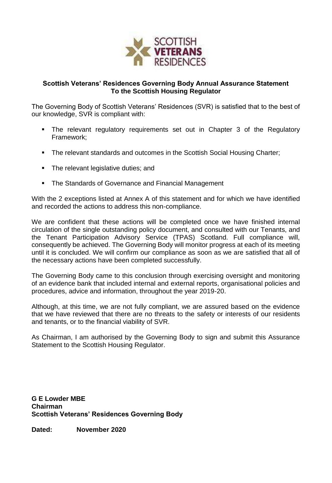

## **Scottish Veterans' Residences Governing Body Annual Assurance Statement To the Scottish Housing Regulator**

The Governing Body of Scottish Veterans' Residences (SVR) is satisfied that to the best of our knowledge, SVR is compliant with:

- The relevant regulatory requirements set out in Chapter 3 of the Regulatory Framework;
- The relevant standards and outcomes in the Scottish Social Housing Charter;
- The relevant legislative duties; and
- The Standards of Governance and Financial Management

With the 2 exceptions listed at Annex A of this statement and for which we have identified and recorded the actions to address this non-compliance.

We are confident that these actions will be completed once we have finished internal circulation of the single outstanding policy document, and consulted with our Tenants, and the Tenant Participation Advisory Service (TPAS) Scotland. Full compliance will, consequently be achieved. The Governing Body will monitor progress at each of its meeting until it is concluded. We will confirm our compliance as soon as we are satisfied that all of the necessary actions have been completed successfully.

The Governing Body came to this conclusion through exercising oversight and monitoring of an evidence bank that included internal and external reports, organisational policies and procedures, advice and information, throughout the year 2019-20.

Although, at this time, we are not fully compliant, we are assured based on the evidence that we have reviewed that there are no threats to the safety or interests of our residents and tenants, or to the financial viability of SVR.

As Chairman, I am authorised by the Governing Body to sign and submit this Assurance Statement to the Scottish Housing Regulator.

**G E Lowder MBE Chairman Scottish Veterans' Residences Governing Body**

**Dated: November 2020**